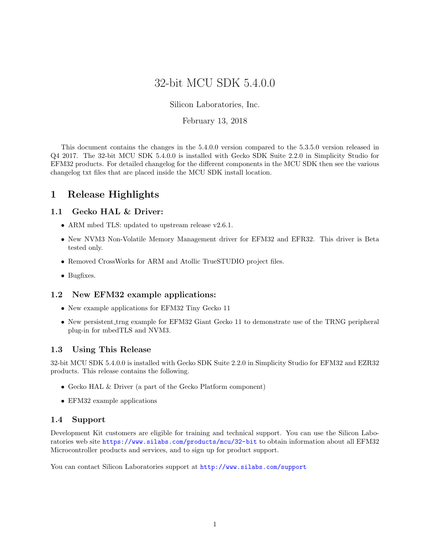# 32-bit MCU SDK 5.4.0.0

Silicon Laboratories, Inc.

#### February 13, 2018

This document contains the changes in the 5.4.0.0 version compared to the 5.3.5.0 version released in Q4 2017. The 32-bit MCU SDK 5.4.0.0 is installed with Gecko SDK Suite 2.2.0 in Simplicity Studio for EFM32 products. For detailed changelog for the different components in the MCU SDK then see the various changelog txt files that are placed inside the MCU SDK install location.

# 1 Release Highlights

#### 1.1 Gecko HAL & Driver:

- ARM mbed TLS: updated to upstream release v2.6.1.
- New NVM3 Non-Volatile Memory Management driver for EFM32 and EFR32. This driver is Beta tested only.
- Removed CrossWorks for ARM and Atollic TrueSTUDIO project files.
- Bugfixes.

#### 1.2 New EFM32 example applications:

- New example applications for EFM32 Tiny Gecko 11
- New persistent trng example for EFM32 Giant Gecko 11 to demonstrate use of the TRNG peripheral plug-in for mbedTLS and NVM3.

#### 1.3 Using This Release

32-bit MCU SDK 5.4.0.0 is installed with Gecko SDK Suite 2.2.0 in Simplicity Studio for EFM32 and EZR32 products. This release contains the following.

- Gecko HAL & Driver (a part of the Gecko Platform component)
- EFM32 example applications

#### 1.4 Support

Development Kit customers are eligible for training and technical support. You can use the Silicon Laboratories web site <https://www.silabs.com/products/mcu/32-bit> to obtain information about all EFM32 Microcontroller products and services, and to sign up for product support.

You can contact Silicon Laboratories support at <http://www.silabs.com/support>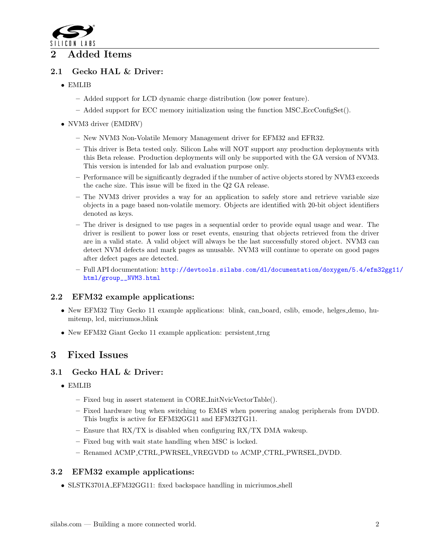

## 2 Added Items

## 2.1 Gecko HAL & Driver:

- EMLIB
	- Added support for LCD dynamic charge distribution (low power feature).
	- Added support for ECC memory initialization using the function MSC EccConfigSet().
- NVM3 driver (EMDRV)
	- New NVM3 Non-Volatile Memory Management driver for EFM32 and EFR32.
	- This driver is Beta tested only. Silicon Labs will NOT support any production deployments with this Beta release. Production deployments will only be supported with the GA version of NVM3. This version is intended for lab and evaluation purpose only.
	- Performance will be significantly degraded if the number of active objects stored by NVM3 exceeds the cache size. This issue will be fixed in the Q2 GA release.
	- The NVM3 driver provides a way for an application to safely store and retrieve variable size objects in a page based non-volatile memory. Objects are identified with 20-bit object identifiers denoted as keys.
	- The driver is designed to use pages in a sequential order to provide equal usage and wear. The driver is resilient to power loss or reset events, ensuring that objects retrieved from the driver are in a valid state. A valid object will always be the last successfully stored object. NVM3 can detect NVM defects and mark pages as unusable. NVM3 will continue to operate on good pages after defect pages are detected.
	- Full API documentation: [http://devtools.silabs.com/dl/documentation/doxygen/5.4/efm3](http://devtools.silabs.com/dl/documentation/doxygen/5.4/efm32gg11/html/group__NVM3.html)2gg11/ [html/group\\_\\_NVM3.html](http://devtools.silabs.com/dl/documentation/doxygen/5.4/efm32gg11/html/group__NVM3.html)

## 2.2 EFM32 example applications:

- New EFM32 Tiny Gecko 11 example applications: blink, can board, cslib, emode, helges demo, humitemp, lcd, micriumos blink
- New EFM32 Giant Gecko 11 example application: persistent\_trng

# 3 Fixed Issues

#### 3.1 Gecko HAL & Driver:

- EMLIB
	- Fixed bug in assert statement in CORE InitNvicVectorTable().
	- Fixed hardware bug when switching to EM4S when powering analog peripherals from DVDD. This bugfix is active for EFM32GG11 and EFM32TG11.
	- Ensure that  $\frac{RX}{TX}$  is disabled when configuring  $\frac{RX}{TX}$  DMA wakeup.
	- Fixed bug with wait state handling when MSC is locked.
	- Renamed ACMP CTRL PWRSEL VREGVDD to ACMP CTRL PWRSEL DVDD.

## 3.2 EFM32 example applications:

• SLSTK3701A\_EFM32GG11: fixed backspace handling in micriumos\_shell